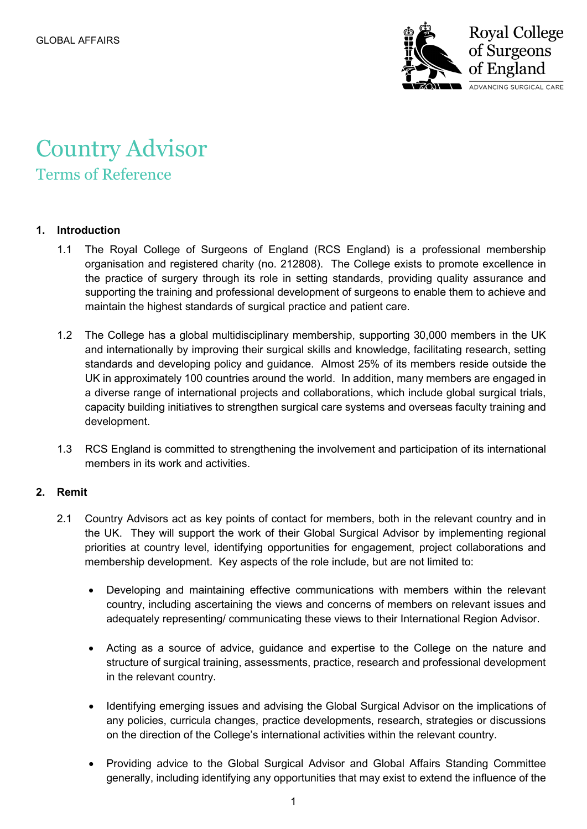

# Country Advisor Terms of Reference

# **1. Introduction**

- 1.1 The Royal College of Surgeons of England (RCS England) is a professional membership organisation and registered charity (no. 212808). The College exists to promote excellence in the practice of surgery through its role in setting standards, providing quality assurance and supporting the training and professional development of surgeons to enable them to achieve and maintain the highest standards of surgical practice and patient care.
- 1.2 The College has a global multidisciplinary membership, supporting 30,000 members in the UK and internationally by improving their surgical skills and knowledge, facilitating research, setting standards and developing policy and guidance. Almost 25% of its members reside outside the UK in approximately 100 countries around the world. In addition, many members are engaged in a diverse range of international projects and collaborations, which include global surgical trials, capacity building initiatives to strengthen surgical care systems and overseas faculty training and development.
- 1.3 RCS England is committed to strengthening the involvement and participation of its international members in its work and activities.

# **2. Remit**

- 2.1 Country Advisors act as key points of contact for members, both in the relevant country and in the UK. They will support the work of their Global Surgical Advisor by implementing regional priorities at country level, identifying opportunities for engagement, project collaborations and membership development. Key aspects of the role include, but are not limited to:
	- Developing and maintaining effective communications with members within the relevant country, including ascertaining the views and concerns of members on relevant issues and adequately representing/ communicating these views to their International Region Advisor.
	- Acting as a source of advice, guidance and expertise to the College on the nature and structure of surgical training, assessments, practice, research and professional development in the relevant country.
	- Identifying emerging issues and advising the Global Surgical Advisor on the implications of any policies, curricula changes, practice developments, research, strategies or discussions on the direction of the College's international activities within the relevant country.
	- Providing advice to the Global Surgical Advisor and Global Affairs Standing Committee generally, including identifying any opportunities that may exist to extend the influence of the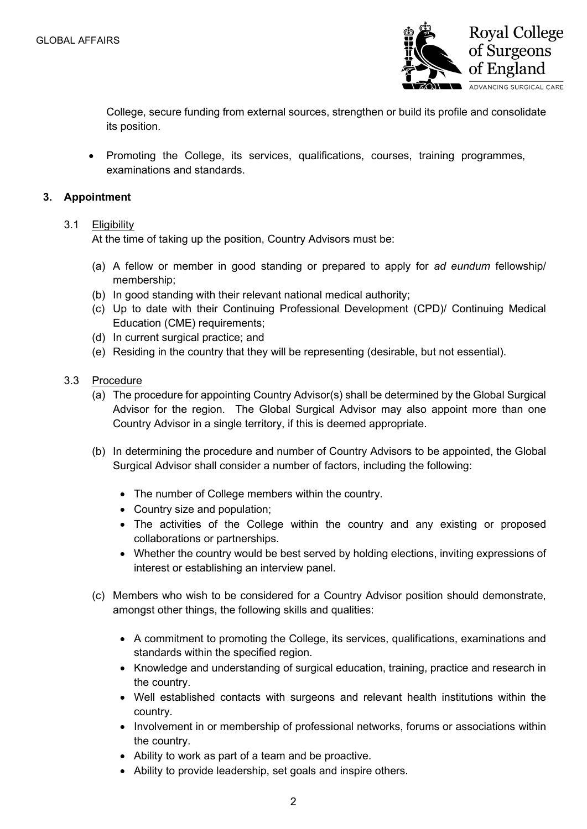

College, secure funding from external sources, strengthen or build its profile and consolidate its position.

• Promoting the College, its services, qualifications, courses, training programmes, examinations and standards.

#### **3. Appointment**

#### 3.1 Eligibility

At the time of taking up the position, Country Advisors must be:

- (a) A fellow or member in good standing or prepared to apply for *ad eundum* fellowship/ membership;
- (b) In good standing with their relevant national medical authority;
- (c) Up to date with their Continuing Professional Development (CPD)/ Continuing Medical Education (CME) requirements;
- (d) In current surgical practice; and
- (e) Residing in the country that they will be representing (desirable, but not essential).
- 3.3 Procedure
	- (a) The procedure for appointing Country Advisor(s) shall be determined by the Global Surgical Advisor for the region. The Global Surgical Advisor may also appoint more than one Country Advisor in a single territory, if this is deemed appropriate.
	- (b) In determining the procedure and number of Country Advisors to be appointed, the Global Surgical Advisor shall consider a number of factors, including the following:
		- The number of College members within the country.
		- Country size and population;
		- The activities of the College within the country and any existing or proposed collaborations or partnerships.
		- Whether the country would be best served by holding elections, inviting expressions of interest or establishing an interview panel.
	- (c) Members who wish to be considered for a Country Advisor position should demonstrate, amongst other things, the following skills and qualities:
		- A commitment to promoting the College, its services, qualifications, examinations and standards within the specified region.
		- Knowledge and understanding of surgical education, training, practice and research in the country.
		- Well established contacts with surgeons and relevant health institutions within the country.
		- Involvement in or membership of professional networks, forums or associations within the country.
		- Ability to work as part of a team and be proactive.
		- Ability to provide leadership, set goals and inspire others.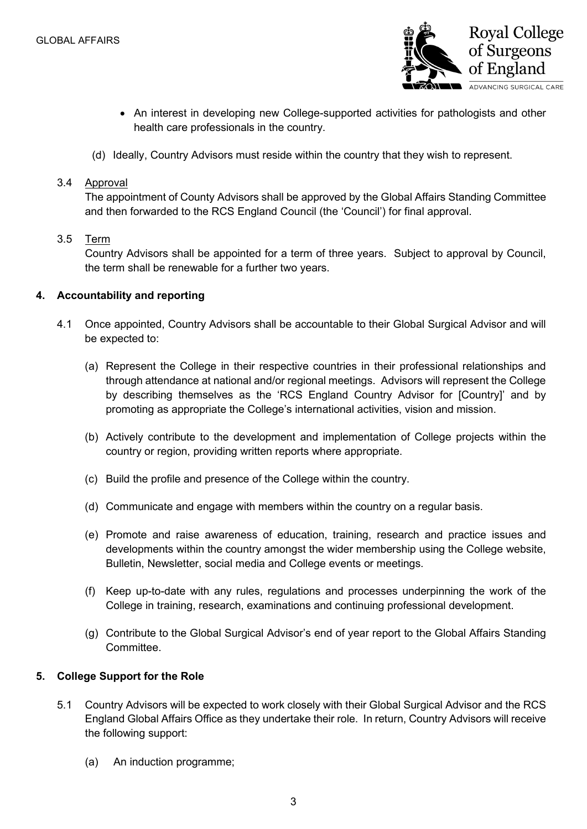

- An interest in developing new College-supported activities for pathologists and other health care professionals in the country.
- (d) Ideally, Country Advisors must reside within the country that they wish to represent.

# 3.4 Approval

The appointment of County Advisors shall be approved by the Global Affairs Standing Committee and then forwarded to the RCS England Council (the 'Council') for final approval.

#### 3.5 Term

Country Advisors shall be appointed for a term of three years. Subject to approval by Council, the term shall be renewable for a further two years.

# **4. Accountability and reporting**

- 4.1 Once appointed, Country Advisors shall be accountable to their Global Surgical Advisor and will be expected to:
	- (a) Represent the College in their respective countries in their professional relationships and through attendance at national and/or regional meetings. Advisors will represent the College by describing themselves as the 'RCS England Country Advisor for [Country]' and by promoting as appropriate the College's international activities, vision and mission.
	- (b) Actively contribute to the development and implementation of College projects within the country or region, providing written reports where appropriate.
	- (c) Build the profile and presence of the College within the country.
	- (d) Communicate and engage with members within the country on a regular basis.
	- (e) Promote and raise awareness of education, training, research and practice issues and developments within the country amongst the wider membership using the College website, Bulletin, Newsletter, social media and College events or meetings.
	- (f) Keep up-to-date with any rules, regulations and processes underpinning the work of the College in training, research, examinations and continuing professional development.
	- (g) Contribute to the Global Surgical Advisor's end of year report to the Global Affairs Standing Committee.

# **5. College Support for the Role**

- 5.1 Country Advisors will be expected to work closely with their Global Surgical Advisor and the RCS England Global Affairs Office as they undertake their role. In return, Country Advisors will receive the following support:
	- (a) An induction programme;